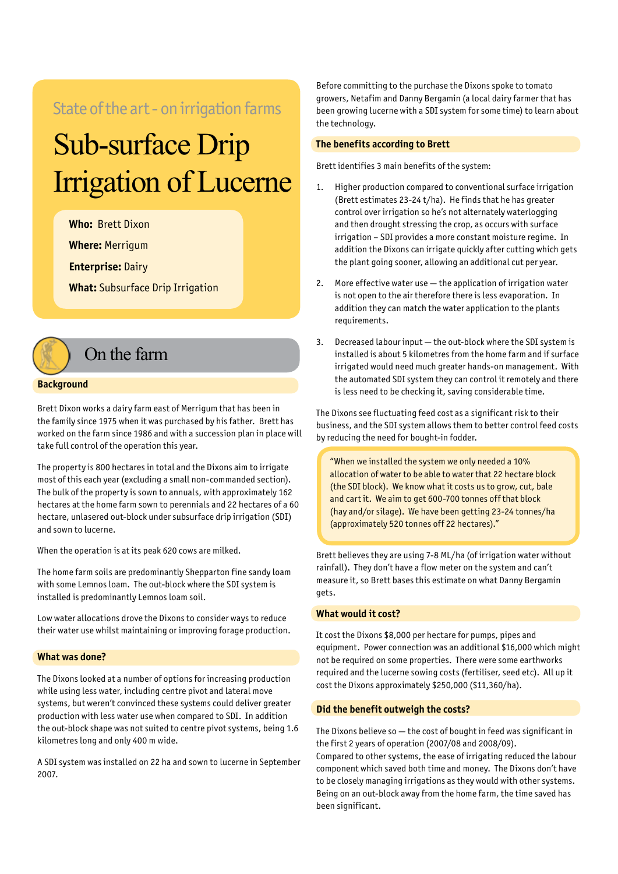### State of the art - on irrigation farms

# Sub-surface Drip Irrigation of Lucerne

**Who:** Brett Dixon

**Where:** Merrigum

**Enterprise:** Dairy

**What:** Subsurface Drip Irrigation

# On the farm

#### **Background**

Brett Dixon works a dairy farm east of Merrigum that has been in the family since 1975 when it was purchased by his father. Brett has worked on the farm since 1986 and with a succession plan in place will take full control of the operation this year.

The property is 800 hectares in total and the Dixons aim to irrigate most of this each year (excluding a small non-commanded section). The bulk of the property is sown to annuals, with approximately 162 hectares at the home farm sown to perennials and 22 hectares of a 60 hectare, unlasered out-block under subsurface drip irrigation (SDI) and sown to lucerne.

When the operation is at its peak 620 cows are milked.

The home farm soils are predominantly Shepparton fine sandy loam with some Lemnos loam. The out-block where the SDI system is installed is predominantly Lemnos loam soil.

Low water allocations drove the Dixons to consider ways to reduce their water use whilst maintaining or improving forage production.

#### **What was done?**

The Dixons looked at a number of options for increasing production while using less water, including centre pivot and lateral move systems, but weren't convinced these systems could deliver greater production with less water use when compared to SDI. In addition the out-block shape was not suited to centre pivot systems, being 1.6 kilometres long and only 400 m wide.

A SDI system was installed on 22 ha and sown to lucerne in September 2007.

Before committing to the purchase the Dixons spoke to tomato growers, Netafim and Danny Bergamin (a local dairy farmer that has been growing lucerne with a SDI system for some time) to learn about the technology.

#### **The benefits according to Brett**

Brett identifies 3 main benefits of the system:

- 1. Higher production compared to conventional surface irrigation (Brett estimates 23-24 t/ha). He finds that he has greater control over irrigation so he's not alternately waterlogging and then drought stressing the crop, as occurs with surface irrigation – SDI provides a more constant moisture regime. In addition the Dixons can irrigate quickly after cutting which gets the plant going sooner, allowing an additional cut per year.
- 2. More effective water use the application of irrigation water is not open to the air therefore there is less evaporation. In addition they can match the water application to the plants requirements.
- 3. Decreased labour input the out-block where the SDI system is installed is about 5 kilometres from the home farm and if surface irrigated would need much greater hands-on management. With the automated SDI system they can control it remotely and there is less need to be checking it, saving considerable time.

The Dixons see fluctuating feed cost as a significant risk to their business, and the SDI system allows them to better control feed costs by reducing the need for bought-in fodder.

"When we installed the system we only needed a 10% allocation of water to be able to water that 22 hectare block (the SDI block). We know what it costs us to grow, cut, bale and cart it. We aim to get 600-700 tonnes off that block (hay and/or silage). We have been getting 23-24 tonnes/ha (approximately 520 tonnes off 22 hectares)."

Brett believes they are using 7-8 ML/ha (of irrigation water without rainfall). They don't have a flow meter on the system and can't measure it, so Brett bases this estimate on what Danny Bergamin an

#### **What would it cost?**

It cost the Dixons \$8,000 per hectare for pumps, pipes and equipment. Power connection was an additional \$16,000 which might not be required on some properties. There were some earthworks required and the lucerne sowing costs (fertiliser, seed etc). All up it cost the Dixons approximately \$250,000 (\$11,360/ha).

#### **Did the benefit outweigh the costs?**

The Dixons believe so — the cost of bought in feed was significant in the first 2 years of operation (2007/08 and 2008/09). Compared to other systems, the ease of irrigating reduced the labour component which saved both time and money. The Dixons don't have to be closely managing irrigations as they would with other systems. Being on an out-block away from the home farm, the time saved has been significant.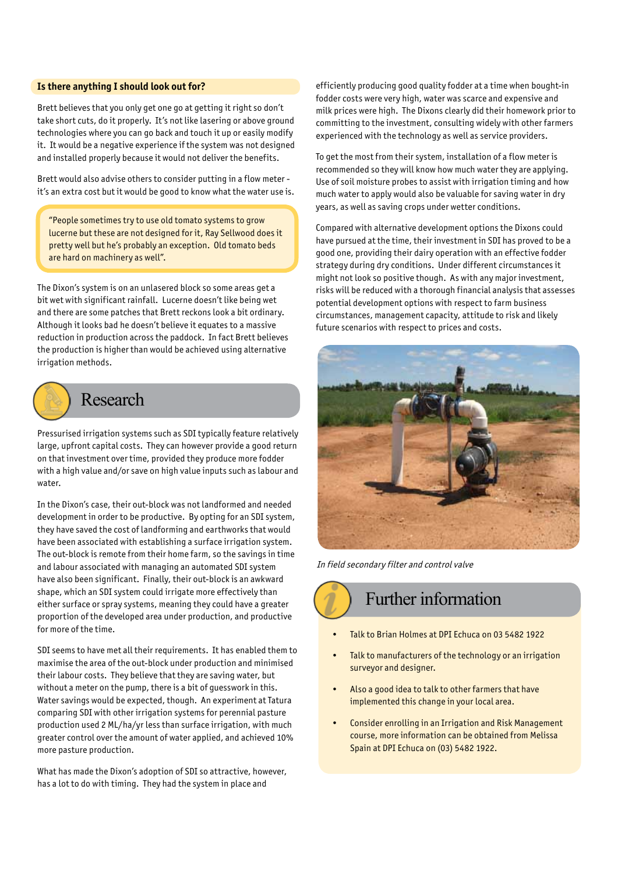#### **Is there anything I should look out for?**

Brett believes that you only get one go at getting it right so don't take short cuts, do it properly. It's not like lasering or above ground technologies where you can go back and touch it up or easily modify it. It would be a negative experience if the system was not designed and installed properly because it would not deliver the benefits.

Brett would also advise others to consider putting in a flow meter it's an extra cost but it would be good to know what the water use is.

"People sometimes try to use old tomato systems to grow lucerne but these are not designed for it, Ray Sellwood does it pretty well but he's probably an exception. Old tomato beds are hard on machinery as well".

The Dixon's system is on an unlasered block so some areas get a bit wet with significant rainfall. Lucerne doesn't like being wet and there are some patches that Brett reckons look a bit ordinary. Although it looks bad he doesn't believe it equates to a massive reduction in production across the paddock. In fact Brett believes the production is higher than would be achieved using alternative irrigation methods.



### Research

Pressurised irrigation systems such as SDI typically feature relatively large, upfront capital costs. They can however provide a good return on that investment over time, provided they produce more fodder with a high value and/or save on high value inputs such as labour and water.

In the Dixon's case, their out-block was not landformed and needed development in order to be productive. By opting for an SDI system, they have saved the cost of landforming and earthworks that would have been associated with establishing a surface irrigation system. The out-block is remote from their home farm, so the savings in time and labour associated with managing an automated SDI system have also been significant. Finally, their out-block is an awkward shape, which an SDI system could irrigate more effectively than either surface or spray systems, meaning they could have a greater proportion of the developed area under production, and productive for more of the time.

SDI seems to have met all their requirements. It has enabled them to maximise the area of the out-block under production and minimised their labour costs. They believe that they are saving water, but without a meter on the pump, there is a bit of guesswork in this. Water savings would be expected, though. An experiment at Tatura comparing SDI with other irrigation systems for perennial pasture production used 2 ML/ha/yr less than surface irrigation, with much greater control over the amount of water applied, and achieved 10% more pasture production.

What has made the Dixon's adoption of SDI so attractive, however, has a lot to do with timing. They had the system in place and

efficiently producing good quality fodder at a time when bought-in fodder costs were very high, water was scarce and expensive and milk prices were high. The Dixons clearly did their homework prior to committing to the investment, consulting widely with other farmers experienced with the technology as well as service providers.

To get the most from their system, installation of a flow meter is recommended so they will know how much water they are applying. Use of soil moisture probes to assist with irrigation timing and how much water to apply would also be valuable for saving water in dry years, as well as saving crops under wetter conditions.

Compared with alternative development options the Dixons could have pursued at the time, their investment in SDI has proved to be a good one, providing their dairy operation with an effective fodder strategy during dry conditions. Under different circumstances it might not look so positive though. As with any major investment, risks will be reduced with a thorough financial analysis that assesses potential development options with respect to farm business circumstances, management capacity, attitude to risk and likely future scenarios with respect to prices and costs.



In field secondary filter and control valve

Further information

- Talk to Brian Holmes at DPI Echuca on 03 5482 1922
- Talk to manufacturers of the technology or an irrigation surveyor and designer.
- Also a good idea to talk to other farmers that have implemented this change in your local area.
- Consider enrolling in an Irrigation and Risk Management course, more information can be obtained from Melissa Spain at DPI Echuca on (03) 5482 1922.